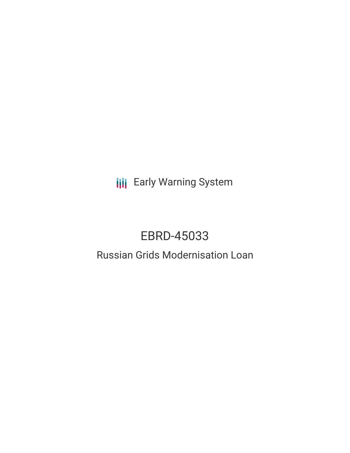**III** Early Warning System

# EBRD-45033

## Russian Grids Modernisation Loan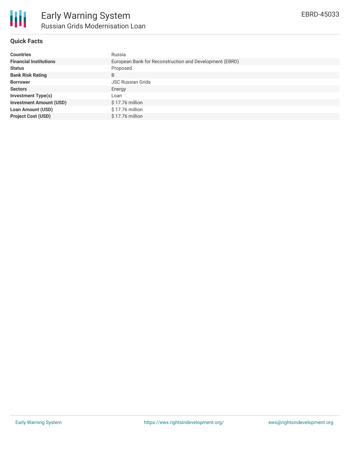

## **Quick Facts**

| <b>Countries</b>               | Russia                                                  |
|--------------------------------|---------------------------------------------------------|
| <b>Financial Institutions</b>  | European Bank for Reconstruction and Development (EBRD) |
| <b>Status</b>                  | Proposed                                                |
| <b>Bank Risk Rating</b>        | B                                                       |
| <b>Borrower</b>                | <b>JSC Russian Grids</b>                                |
| <b>Sectors</b>                 | Energy                                                  |
| Investment Type(s)             | Loan                                                    |
| <b>Investment Amount (USD)</b> | $$17.76$ million                                        |
| <b>Loan Amount (USD)</b>       | $$17.76$ million                                        |
| <b>Project Cost (USD)</b>      | $$17.76$ million                                        |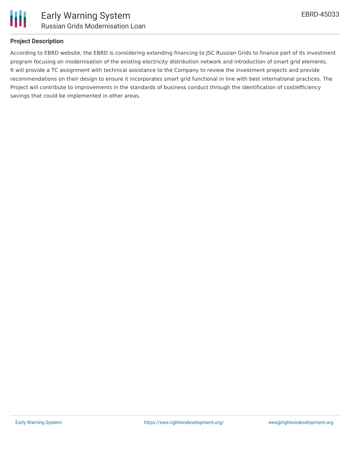

## **Project Description**

According to EBRD website, the EBRD is considering extending financing to JSC Russian Grids to finance part of its investment program focusing on modernisation of the existing electricity distribution network and introduction of smart grid elements. It will provide a TC assignment with technical assistance to the Company to review the investment projects and provide recommendations on their design to ensure it incorporates smart grid functional in line with best international practices. The Project will contribute to improvements in the standards of business conduct through the identification of cost/efficiency savings that could be implemented in other areas.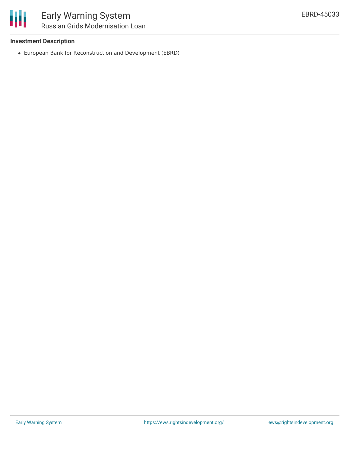### **Investment Description**

European Bank for Reconstruction and Development (EBRD)